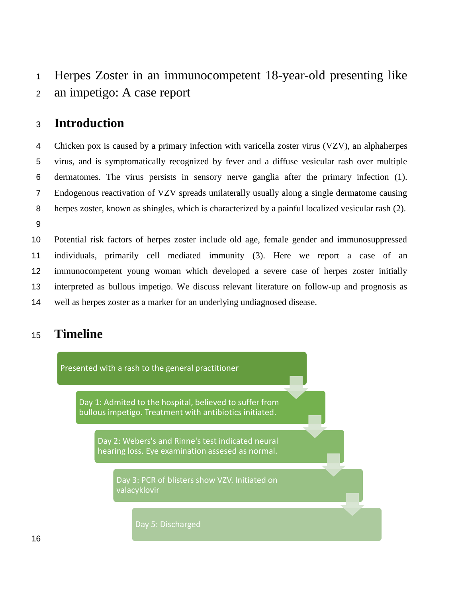# Herpes Zoster in an immunocompetent 18-year-old presenting like an impetigo: A case report

# **Introduction**

 Chicken pox is caused by a primary infection with varicella zoster virus (VZV), an alphaherpes virus, and is symptomatically recognized by fever and a diffuse vesicular rash over multiple dermatomes. The virus persists in sensory nerve ganglia after the primary infection (1). Endogenous reactivation of VZV spreads unilaterally usually along a single dermatome causing herpes zoster, known as shingles, which is characterized by a painful localized vesicular rash (2). 

 Potential risk factors of herpes zoster include old age, female gender and immunosuppressed individuals, primarily cell mediated immunity (3). Here we report a case of an immunocompetent young woman which developed a severe case of herpes zoster initially interpreted as bullous impetigo. We discuss relevant literature on follow-up and prognosis as well as herpes zoster as a marker for an underlying undiagnosed disease.

## **Timeline**

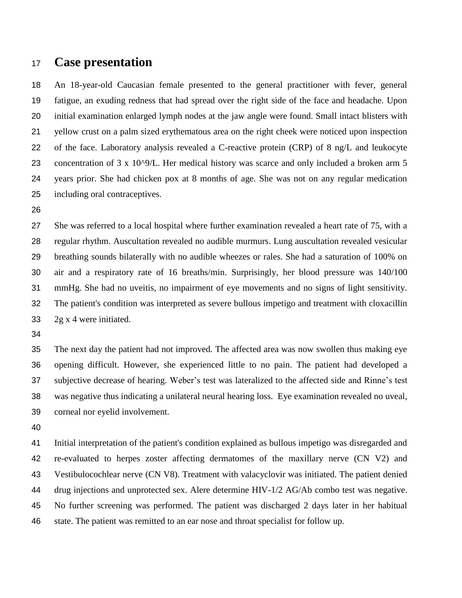#### **Case presentation**

 An 18-year-old Caucasian female presented to the general practitioner with fever, general fatigue, an exuding redness that had spread over the right side of the face and headache. Upon initial examination enlarged lymph nodes at the jaw angle were found. Small intact blisters with yellow crust on a palm sized erythematous area on the right cheek were noticed upon inspection of the face. Laboratory analysis revealed a C-reactive protein (CRP) of 8 ng/L and leukocyte 23 concentration of 3 x 10<sup>o</sup>9/L. Her medical history was scarce and only included a broken arm 5 years prior. She had chicken pox at 8 months of age. She was not on any regular medication including oral contraceptives.

 She was referred to a local hospital where further examination revealed a heart rate of 75, with a regular rhythm. Auscultation revealed no audible murmurs. Lung auscultation revealed vesicular breathing sounds bilaterally with no audible wheezes or rales. She had a saturation of 100% on air and a respiratory rate of 16 breaths/min. Surprisingly, her blood pressure was 140/100 mmHg. She had no uveitis, no impairment of eye movements and no signs of light sensitivity. The patient's condition was interpreted as severe bullous impetigo and treatment with cloxacillin 2g x 4 were initiated.

 The next day the patient had not improved. The affected area was now swollen thus making eye opening difficult. However, she experienced little to no pain. The patient had developed a subjective decrease of hearing. Weber's test was lateralized to the affected side and Rinne's test was negative thus indicating a unilateral neural hearing loss. Eye examination revealed no uveal, corneal nor eyelid involvement.

 Initial interpretation of the patient's condition explained as bullous impetigo was disregarded and re-evaluated to herpes zoster affecting dermatomes of the maxillary nerve (CN V2) and Vestibulocochlear nerve (CN V8). Treatment with valacyclovir was initiated. The patient denied 44 drug injections and unprotected sex. Alere determine HIV-1/2 AG/Ab combo test was negative. No further screening was performed. The patient was discharged 2 days later in her habitual state. The patient was remitted to an ear nose and throat specialist for follow up.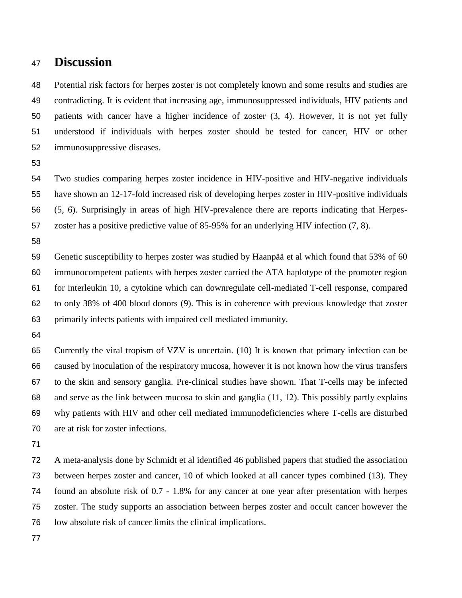### **Discussion**

 Potential risk factors for herpes zoster is not completely known and some results and studies are contradicting. It is evident that increasing age, immunosuppressed individuals, HIV patients and patients with cancer have a higher incidence of zoster (3, 4). However, it is not yet fully understood if individuals with herpes zoster should be tested for cancer, HIV or other immunosuppressive diseases.

 Two studies comparing herpes zoster incidence in HIV-positive and HIV-negative individuals have shown an 12-17-fold increased risk of developing herpes zoster in HIV-positive individuals (5, 6). Surprisingly in areas of high HIV-prevalence there are reports indicating that Herpes-zoster has a positive predictive value of 85-95% for an underlying HIV infection (7, 8).

 Genetic susceptibility to herpes zoster was studied by Haanpää et al which found that 53% of 60 immunocompetent patients with herpes zoster carried the ATA haplotype of the promoter region for interleukin 10, a cytokine which can downregulate cell-mediated T-cell response, compared to only 38% of 400 blood donors (9). This is in coherence with previous knowledge that zoster primarily infects patients with impaired cell mediated immunity.

 Currently the viral tropism of VZV is uncertain. (10) It is known that primary infection can be caused by inoculation of the respiratory mucosa, however it is not known how the virus transfers to the skin and sensory ganglia. Pre-clinical studies have shown. That T-cells may be infected and serve as the link between mucosa to skin and ganglia (11, 12). This possibly partly explains why patients with HIV and other cell mediated immunodeficiencies where T-cells are disturbed are at risk for zoster infections.

 A meta-analysis done by Schmidt et al identified 46 published papers that studied the association between herpes zoster and cancer, 10 of which looked at all cancer types combined (13). They found an absolute risk of 0.7 - 1.8% for any cancer at one year after presentation with herpes zoster. The study supports an association between herpes zoster and occult cancer however the low absolute risk of cancer limits the clinical implications.